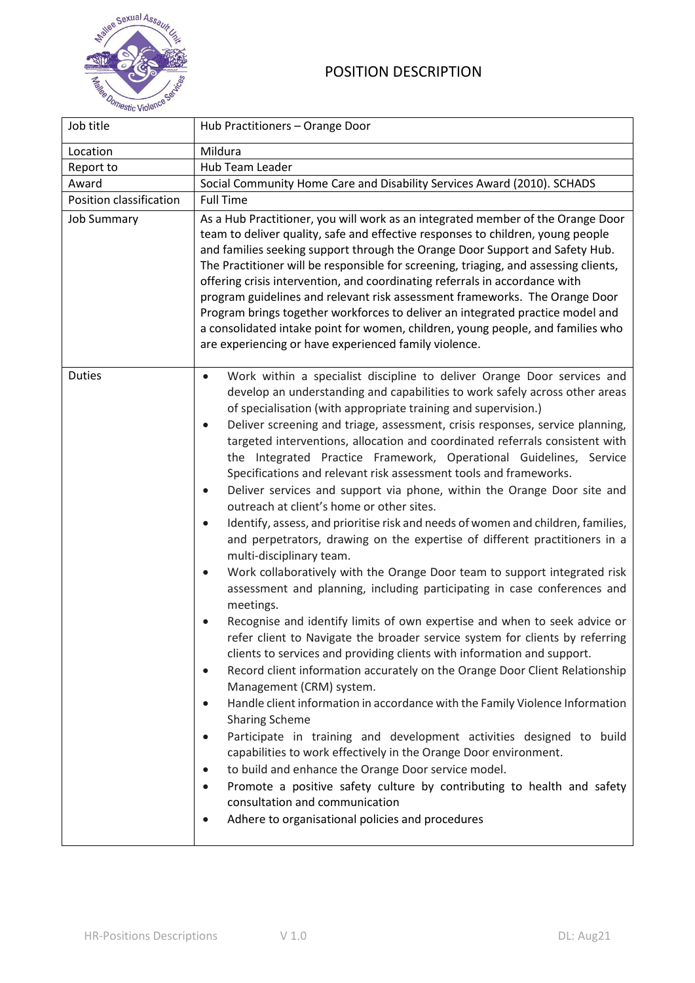## POSITION DESCRIPTION



| Job title               | Hub Practitioners - Orange Door                                                                                                                                                                                                                                                                                                                                                                                                                                                                                                                                                                                                                                                                                                                                                                                                                                                                                                                                                                                                                                                                                                                                                                                                                                                                                                                                                                                                                                                                                                                                                                                                                                                                                                                                                                                                                                                                                                                                                                                |  |  |
|-------------------------|----------------------------------------------------------------------------------------------------------------------------------------------------------------------------------------------------------------------------------------------------------------------------------------------------------------------------------------------------------------------------------------------------------------------------------------------------------------------------------------------------------------------------------------------------------------------------------------------------------------------------------------------------------------------------------------------------------------------------------------------------------------------------------------------------------------------------------------------------------------------------------------------------------------------------------------------------------------------------------------------------------------------------------------------------------------------------------------------------------------------------------------------------------------------------------------------------------------------------------------------------------------------------------------------------------------------------------------------------------------------------------------------------------------------------------------------------------------------------------------------------------------------------------------------------------------------------------------------------------------------------------------------------------------------------------------------------------------------------------------------------------------------------------------------------------------------------------------------------------------------------------------------------------------------------------------------------------------------------------------------------------------|--|--|
| Location                | Mildura                                                                                                                                                                                                                                                                                                                                                                                                                                                                                                                                                                                                                                                                                                                                                                                                                                                                                                                                                                                                                                                                                                                                                                                                                                                                                                                                                                                                                                                                                                                                                                                                                                                                                                                                                                                                                                                                                                                                                                                                        |  |  |
| Report to               | Hub Team Leader                                                                                                                                                                                                                                                                                                                                                                                                                                                                                                                                                                                                                                                                                                                                                                                                                                                                                                                                                                                                                                                                                                                                                                                                                                                                                                                                                                                                                                                                                                                                                                                                                                                                                                                                                                                                                                                                                                                                                                                                |  |  |
| Award                   | Social Community Home Care and Disability Services Award (2010). SCHADS                                                                                                                                                                                                                                                                                                                                                                                                                                                                                                                                                                                                                                                                                                                                                                                                                                                                                                                                                                                                                                                                                                                                                                                                                                                                                                                                                                                                                                                                                                                                                                                                                                                                                                                                                                                                                                                                                                                                        |  |  |
| Position classification | <b>Full Time</b>                                                                                                                                                                                                                                                                                                                                                                                                                                                                                                                                                                                                                                                                                                                                                                                                                                                                                                                                                                                                                                                                                                                                                                                                                                                                                                                                                                                                                                                                                                                                                                                                                                                                                                                                                                                                                                                                                                                                                                                               |  |  |
| <b>Job Summary</b>      | As a Hub Practitioner, you will work as an integrated member of the Orange Door<br>team to deliver quality, safe and effective responses to children, young people<br>and families seeking support through the Orange Door Support and Safety Hub.<br>The Practitioner will be responsible for screening, triaging, and assessing clients,<br>offering crisis intervention, and coordinating referrals in accordance with<br>program guidelines and relevant risk assessment frameworks. The Orange Door<br>Program brings together workforces to deliver an integrated practice model and<br>a consolidated intake point for women, children, young people, and families who<br>are experiencing or have experienced family violence.                                                                                                                                                                                                                                                                                                                                                                                                                                                                                                                                                                                                                                                                                                                                                                                                                                                                                                                                                                                                                                                                                                                                                                                                                                                                         |  |  |
| <b>Duties</b>           | Work within a specialist discipline to deliver Orange Door services and<br>$\bullet$<br>develop an understanding and capabilities to work safely across other areas<br>of specialisation (with appropriate training and supervision.)<br>Deliver screening and triage, assessment, crisis responses, service planning,<br>$\bullet$<br>targeted interventions, allocation and coordinated referrals consistent with<br>the Integrated Practice Framework, Operational Guidelines, Service<br>Specifications and relevant risk assessment tools and frameworks.<br>Deliver services and support via phone, within the Orange Door site and<br>$\bullet$<br>outreach at client's home or other sites.<br>Identify, assess, and prioritise risk and needs of women and children, families,<br>$\bullet$<br>and perpetrators, drawing on the expertise of different practitioners in a<br>multi-disciplinary team.<br>Work collaboratively with the Orange Door team to support integrated risk<br>$\bullet$<br>assessment and planning, including participating in case conferences and<br>meetings.<br>Recognise and identify limits of own expertise and when to seek advice or<br>refer client to Navigate the broader service system for clients by referring<br>clients to services and providing clients with information and support.<br>Record client information accurately on the Orange Door Client Relationship<br>$\bullet$<br>Management (CRM) system.<br>Handle client information in accordance with the Family Violence Information<br>$\bullet$<br><b>Sharing Scheme</b><br>Participate in training and development activities designed to build<br>$\bullet$<br>capabilities to work effectively in the Orange Door environment.<br>to build and enhance the Orange Door service model.<br>$\bullet$<br>Promote a positive safety culture by contributing to health and safety<br>$\bullet$<br>consultation and communication<br>Adhere to organisational policies and procedures<br>$\bullet$ |  |  |